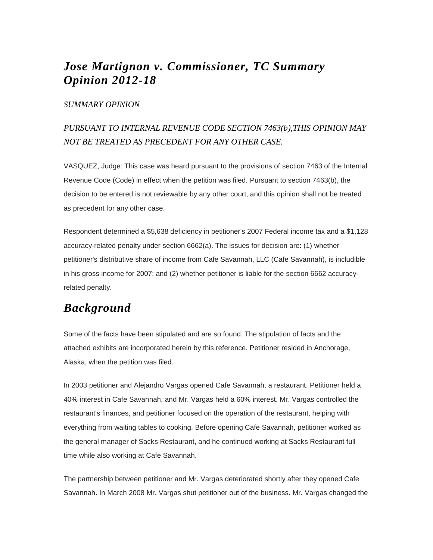## *Jose Martignon v. Commissioner, TC Summary Opinion 2012-18*

#### *SUMMARY OPINION*

## *PURSUANT TO INTERNAL REVENUE CODE SECTION 7463(b),THIS OPINION MAY NOT BE TREATED AS PRECEDENT FOR ANY OTHER CASE.*

VASQUEZ, Judge: This case was heard pursuant to the provisions of section 7463 of the Internal Revenue Code (Code) in effect when the petition was filed. Pursuant to section 7463(b), the decision to be entered is not reviewable by any other court, and this opinion shall not be treated as precedent for any other case.

Respondent determined a \$5,638 deficiency in petitioner's 2007 Federal income tax and a \$1,128 accuracy-related penalty under section 6662(a). The issues for decision are: (1) whether petitioner's distributive share of income from Cafe Savannah, LLC (Cafe Savannah), is includible in his gross income for 2007; and (2) whether petitioner is liable for the section 6662 accuracyrelated penalty.

# *Background*

Some of the facts have been stipulated and are so found. The stipulation of facts and the attached exhibits are incorporated herein by this reference. Petitioner resided in Anchorage, Alaska, when the petition was filed.

In 2003 petitioner and Alejandro Vargas opened Cafe Savannah, a restaurant. Petitioner held a 40% interest in Cafe Savannah, and Mr. Vargas held a 60% interest. Mr. Vargas controlled the restaurant's finances, and petitioner focused on the operation of the restaurant, helping with everything from waiting tables to cooking. Before opening Cafe Savannah, petitioner worked as the general manager of Sacks Restaurant, and he continued working at Sacks Restaurant full time while also working at Cafe Savannah.

The partnership between petitioner and Mr. Vargas deteriorated shortly after they opened Cafe Savannah. In March 2008 Mr. Vargas shut petitioner out of the business. Mr. Vargas changed the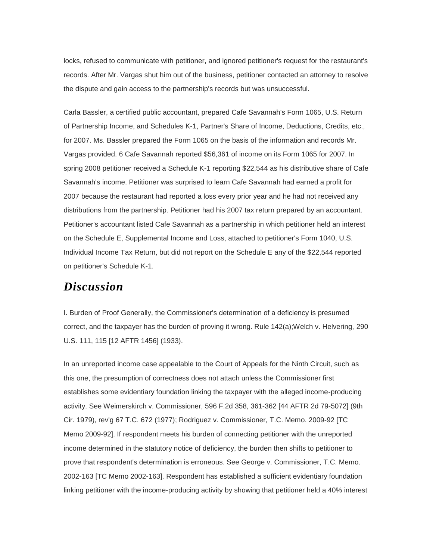locks, refused to communicate with petitioner, and ignored petitioner's request for the restaurant's records. After Mr. Vargas shut him out of the business, petitioner contacted an attorney to resolve the dispute and gain access to the partnership's records but was unsuccessful.

Carla Bassler, a certified public accountant, prepared Cafe Savannah's Form 1065, U.S. Return of Partnership Income, and Schedules K-1, Partner's Share of Income, Deductions, Credits, etc., for 2007. Ms. Bassler prepared the Form 1065 on the basis of the information and records Mr. Vargas provided. 6 Cafe Savannah reported \$56,361 of income on its Form 1065 for 2007. In spring 2008 petitioner received a Schedule K-1 reporting \$22,544 as his distributive share of Cafe Savannah's income. Petitioner was surprised to learn Cafe Savannah had earned a profit for 2007 because the restaurant had reported a loss every prior year and he had not received any distributions from the partnership. Petitioner had his 2007 tax return prepared by an accountant. Petitioner's accountant listed Cafe Savannah as a partnership in which petitioner held an interest on the Schedule E, Supplemental Income and Loss, attached to petitioner's Form 1040, U.S. Individual Income Tax Return, but did not report on the Schedule E any of the \$22,544 reported on petitioner's Schedule K-1.

### *Discussion*

I. Burden of Proof Generally, the Commissioner's determination of a deficiency is presumed correct, and the taxpayer has the burden of proving it wrong. Rule 142(a);Welch v. Helvering, 290 U.S. 111, 115 [12 AFTR 1456] (1933).

In an unreported income case appealable to the Court of Appeals for the Ninth Circuit, such as this one, the presumption of correctness does not attach unless the Commissioner first establishes some evidentiary foundation linking the taxpayer with the alleged income-producing activity. See Weimerskirch v. Commissioner, 596 F.2d 358, 361-362 [44 AFTR 2d 79-5072] (9th Cir. 1979), rev'g 67 T.C. 672 (1977); Rodriguez v. Commissioner, T.C. Memo. 2009-92 [TC Memo 2009-92]. If respondent meets his burden of connecting petitioner with the unreported income determined in the statutory notice of deficiency, the burden then shifts to petitioner to prove that respondent's determination is erroneous. See George v. Commissioner, T.C. Memo. 2002-163 [TC Memo 2002-163]. Respondent has established a sufficient evidentiary foundation linking petitioner with the income-producing activity by showing that petitioner held a 40% interest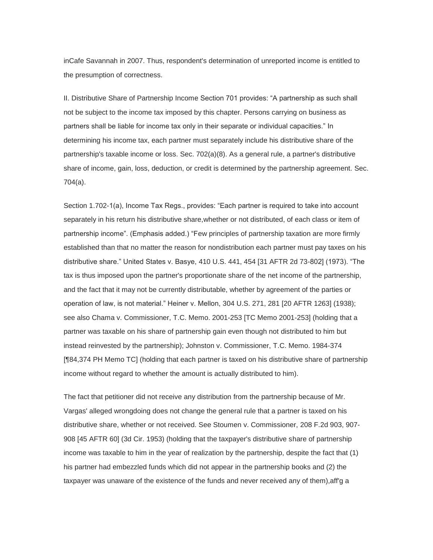inCafe Savannah in 2007. Thus, respondent's determination of unreported income is entitled to the presumption of correctness.

II. Distributive Share of Partnership Income Section 701 provides: "A partnership as such shall not be subject to the income tax imposed by this chapter. Persons carrying on business as partners shall be liable for income tax only in their separate or individual capacities." In determining his income tax, each partner must separately include his distributive share of the partnership's taxable income or loss. Sec. 702(a)(8). As a general rule, a partner's distributive share of income, gain, loss, deduction, or credit is determined by the partnership agreement. Sec. 704(a).

Section 1.702-1(a), Income Tax Regs., provides: "Each partner is required to take into account separately in his return his distributive share,whether or not distributed, of each class or item of partnership income". (Emphasis added.) "Few principles of partnership taxation are more firmly established than that no matter the reason for nondistribution each partner must pay taxes on his distributive share." United States v. Basye, 410 U.S. 441, 454 [31 AFTR 2d 73-802] (1973). "The tax is thus imposed upon the partner's proportionate share of the net income of the partnership, and the fact that it may not be currently distributable, whether by agreement of the parties or operation of law, is not material." Heiner v. Mellon, 304 U.S. 271, 281 [20 AFTR 1263] (1938); see also Chama v. Commissioner, T.C. Memo. 2001-253 [TC Memo 2001-253] (holding that a partner was taxable on his share of partnership gain even though not distributed to him but instead reinvested by the partnership); Johnston v. Commissioner, T.C. Memo. 1984-374 [¶84,374 PH Memo TC] (holding that each partner is taxed on his distributive share of partnership income without regard to whether the amount is actually distributed to him).

The fact that petitioner did not receive any distribution from the partnership because of Mr. Vargas' alleged wrongdoing does not change the general rule that a partner is taxed on his distributive share, whether or not received. See Stoumen v. Commissioner, 208 F.2d 903, 907- 908 [45 AFTR 60] (3d Cir. 1953) (holding that the taxpayer's distributive share of partnership income was taxable to him in the year of realization by the partnership, despite the fact that (1) his partner had embezzled funds which did not appear in the partnership books and (2) the taxpayer was unaware of the existence of the funds and never received any of them),aff'g a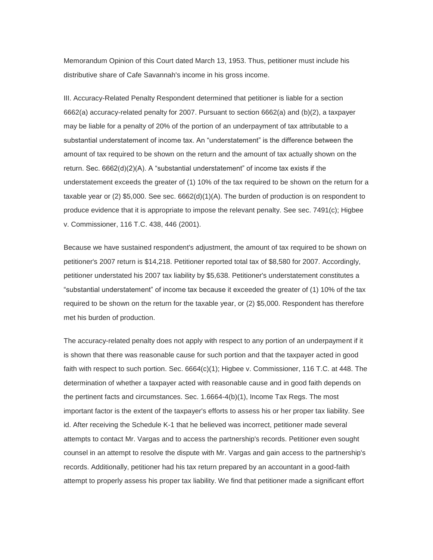Memorandum Opinion of this Court dated March 13, 1953. Thus, petitioner must include his distributive share of Cafe Savannah's income in his gross income.

III. Accuracy-Related Penalty Respondent determined that petitioner is liable for a section 6662(a) accuracy-related penalty for 2007. Pursuant to section 6662(a) and (b)(2), a taxpayer may be liable for a penalty of 20% of the portion of an underpayment of tax attributable to a substantial understatement of income tax. An "understatement" is the difference between the amount of tax required to be shown on the return and the amount of tax actually shown on the return. Sec. 6662(d)(2)(A). A "substantial understatement" of income tax exists if the understatement exceeds the greater of (1) 10% of the tax required to be shown on the return for a taxable year or (2) \$5,000. See sec. 6662(d)(1)(A). The burden of production is on respondent to produce evidence that it is appropriate to impose the relevant penalty. See sec. 7491(c); Higbee v. Commissioner, 116 T.C. 438, 446 (2001).

Because we have sustained respondent's adjustment, the amount of tax required to be shown on petitioner's 2007 return is \$14,218. Petitioner reported total tax of \$8,580 for 2007. Accordingly, petitioner understated his 2007 tax liability by \$5,638. Petitioner's understatement constitutes a "substantial understatement" of income tax because it exceeded the greater of (1) 10% of the tax required to be shown on the return for the taxable year, or (2) \$5,000. Respondent has therefore met his burden of production.

The accuracy-related penalty does not apply with respect to any portion of an underpayment if it is shown that there was reasonable cause for such portion and that the taxpayer acted in good faith with respect to such portion. Sec. 6664(c)(1); Higbee v. Commissioner, 116 T.C. at 448. The determination of whether a taxpayer acted with reasonable cause and in good faith depends on the pertinent facts and circumstances. Sec. 1.6664-4(b)(1), Income Tax Regs. The most important factor is the extent of the taxpayer's efforts to assess his or her proper tax liability. See id. After receiving the Schedule K-1 that he believed was incorrect, petitioner made several attempts to contact Mr. Vargas and to access the partnership's records. Petitioner even sought counsel in an attempt to resolve the dispute with Mr. Vargas and gain access to the partnership's records. Additionally, petitioner had his tax return prepared by an accountant in a good-faith attempt to properly assess his proper tax liability. We find that petitioner made a significant effort